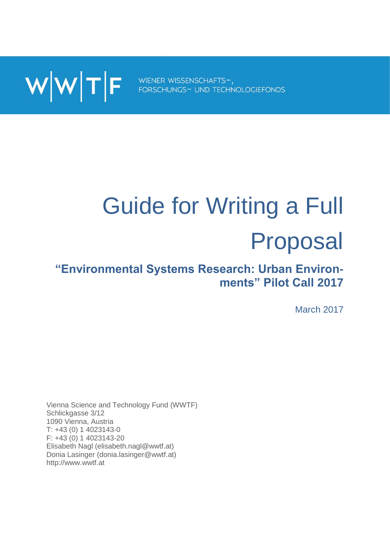# WWTF FORSCHUNGS- UND TECHNOLOGIEFONDS

## Guide for Writing a Full Proposal

## **"Environmental Systems Research: Urban Environments" Pilot Call 2017**

March 2017

Vienna Science and Technology Fund (WWTF) Schlickgasse 3/12 1090 Vienna, Austria T: +43 (0) 1 4023143-0 F: +43 (0) 1 4023143-20 Elisabeth Nagl (elisabeth.nagl@wwtf.at) Donia Lasinger (donia.lasinger@wwtf.at) http://www.wwtf.at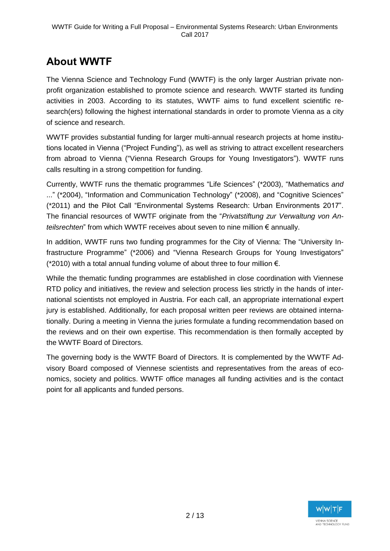## **About WWTF**

The Vienna Science and Technology Fund (WWTF) is the only larger Austrian private nonprofit organization established to promote science and research. WWTF started its funding activities in 2003. According to its statutes, WWTF aims to fund excellent scientific research(ers) following the highest international standards in order to promote Vienna as a city of science and research.

WWTF provides substantial funding for larger multi-annual research projects at home institutions located in Vienna ("Project Funding"), as well as striving to attract excellent researchers from abroad to Vienna ("Vienna Research Groups for Young Investigators"). WWTF runs calls resulting in a strong competition for funding.

Currently, WWTF runs the thematic programmes "Life Sciences" (\*2003), "Mathematics *and* ..." (\*2004), "Information and Communication Technology" (\*2008), and "Cognitive Sciences" (\*2011) and the Pilot Call "Environmental Systems Research: Urban Environments 2017". The financial resources of WWTF originate from the "*Privatstiftung zur Verwaltung von Anteilsrechten*" from which WWTF receives about seven to nine million € annually.

In addition, WWTF runs two funding programmes for the City of Vienna: The "University Infrastructure Programme" (\*2006) and "Vienna Research Groups for Young Investigators" (\*2010) with a total annual funding volume of about three to four million €.

While the thematic funding programmes are established in close coordination with Viennese RTD policy and initiatives, the review and selection process lies strictly in the hands of international scientists not employed in Austria. For each call, an appropriate international expert jury is established. Additionally, for each proposal written peer reviews are obtained internationally. During a meeting in Vienna the juries formulate a funding recommendation based on the reviews and on their own expertise. This recommendation is then formally accepted by the WWTF Board of Directors.

The governing body is the WWTF Board of Directors. It is complemented by the WWTF Advisory Board composed of Viennese scientists and representatives from the areas of economics, society and politics. WWTF office manages all funding activities and is the contact point for all applicants and funded persons.

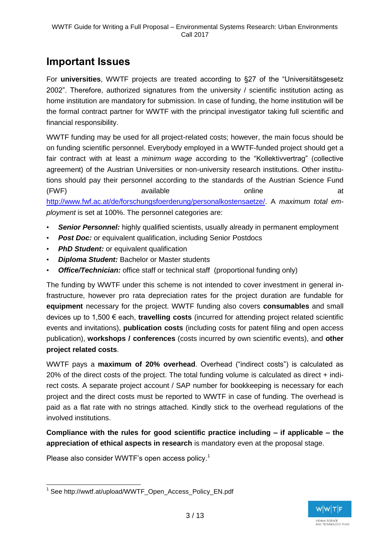## **Important Issues**

For **universities**, WWTF projects are treated according to §27 of the "Universitätsgesetz 2002". Therefore, authorized signatures from the university / scientific institution acting as home institution are mandatory for submission. In case of funding, the home institution will be the formal contract partner for WWTF with the principal investigator taking full scientific and financial responsibility.

WWTF funding may be used for all project-related costs; however, the main focus should be on funding scientific personnel. Everybody employed in a WWTF-funded project should get a fair contract with at least a *minimum wage* according to the "Kollektivvertrag" (collective agreement) of the Austrian Universities or non-university research institutions. Other institutions should pay their personnel according to the standards of the Austrian Science Fund (FWF) available contine at a continue at  $\alpha$ [http://www.fwf.ac.at/de/forschungsfoerderung/personalkostensaetze/.](http://www.fwf.ac.at/de/forschungsfoerderung/personalkostensaetze/) A *maximum total employment* is set at 100%. The personnel categories are:

- **Senior Personnel:** highly qualified scientists, usually already in permanent employment
- **Post Doc:** or equivalent qualification, including Senior Postdocs
- *PhD Student:* or equivalent qualification
- *Diploma Student:* Bachelor or Master students
- *Office/Technician:* office staff or technical staff (proportional funding only)

The funding by WWTF under this scheme is not intended to cover investment in general infrastructure, however pro rata depreciation rates for the project duration are fundable for **equipment** necessary for the project. WWTF funding also covers **consumables** and small devices up to 1,500 € each, **travelling costs** (incurred for attending project related scientific events and invitations), **publication costs** (including costs for patent filing and open access publication), **workshops / conferences** (costs incurred by own scientific events), and **other project related costs**.

WWTF pays a **maximum of 20% overhead**. Overhead ("indirect costs") is calculated as 20% of the direct costs of the project. The total funding volume is calculated as direct + indirect costs. A separate project account / SAP number for bookkeeping is necessary for each project and the direct costs must be reported to WWTF in case of funding. The overhead is paid as a flat rate with no strings attached. Kindly stick to the overhead regulations of the involved institutions.

**Compliance with the rules for good scientific practice including – if applicable – the appreciation of ethical aspects in research** is mandatory even at the proposal stage.

Please also consider WWTF's open access policy.<sup>1</sup>



 1 See http://wwtf.at/upload/WWTF\_Open\_Access\_Policy\_EN.pdf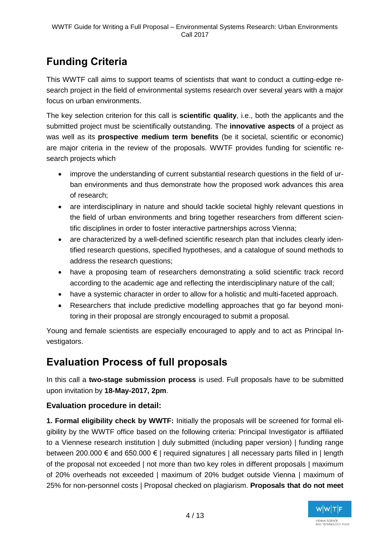## **Funding Criteria**

This WWTF call aims to support teams of scientists that want to conduct a cutting-edge research project in the field of environmental systems research over several years with a major focus on urban environments.

The key selection criterion for this call is **scientific quality**, i.e., both the applicants and the submitted project must be scientifically outstanding. The **innovative aspects** of a project as was well as its **prospective medium term benefits** (be it societal, scientific or economic) are major criteria in the review of the proposals. WWTF provides funding for scientific research projects which

- improve the understanding of current substantial research questions in the field of urban environments and thus demonstrate how the proposed work advances this area of research;
- are interdisciplinary in nature and should tackle societal highly relevant questions in the field of urban environments and bring together researchers from different scientific disciplines in order to foster interactive partnerships across Vienna;
- are characterized by a well-defined scientific research plan that includes clearly identified research questions, specified hypotheses, and a catalogue of sound methods to address the research questions;
- have a proposing team of researchers demonstrating a solid scientific track record according to the academic age and reflecting the interdisciplinary nature of the call;
- have a systemic character in order to allow for a holistic and multi-faceted approach.
- Researchers that include predictive modelling approaches that go far beyond monitoring in their proposal are strongly encouraged to submit a proposal.

Young and female scientists are especially encouraged to apply and to act as Principal Investigators.

## **Evaluation Process of full proposals**

In this call a **two-stage submission process** is used. Full proposals have to be submitted upon invitation by **18-May-2017, 2pm**.

#### **Evaluation procedure in detail:**

**1. Formal eligibility check by WWTF:** Initially the proposals will be screened for formal eligibility by the WWTF office based on the following criteria: Principal Investigator is affiliated to a Viennese research institution | duly submitted (including paper version) | funding range between 200.000  $\epsilon$  and 650.000  $\epsilon$  | required signatures | all necessary parts filled in | length of the proposal not exceeded | not more than two key roles in different proposals | maximum of 20% overheads not exceeded | maximum of 20% budget outside Vienna | maximum of 25% for non-personnel costs | Proposal checked on plagiarism. **Proposals that do not meet** 

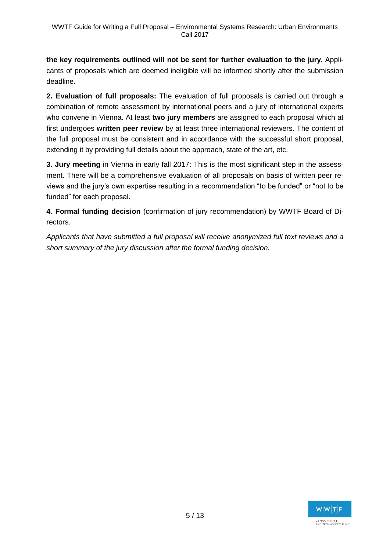**the key requirements outlined will not be sent for further evaluation to the jury.** Applicants of proposals which are deemed ineligible will be informed shortly after the submission deadline.

**2. Evaluation of full proposals:** The evaluation of full proposals is carried out through a combination of remote assessment by international peers and a jury of international experts who convene in Vienna. At least **two jury members** are assigned to each proposal which at first undergoes **written peer review** by at least three international reviewers. The content of the full proposal must be consistent and in accordance with the successful short proposal, extending it by providing full details about the approach, state of the art, etc.

**3. Jury meeting** in Vienna in early fall 2017: This is the most significant step in the assessment. There will be a comprehensive evaluation of all proposals on basis of written peer reviews and the jury's own expertise resulting in a recommendation "to be funded" or "not to be funded" for each proposal.

**4. Formal funding decision** (confirmation of jury recommendation) by WWTF Board of Directors.

*Applicants that have submitted a full proposal will receive anonymized full text reviews and a short summary of the jury discussion after the formal funding decision.*

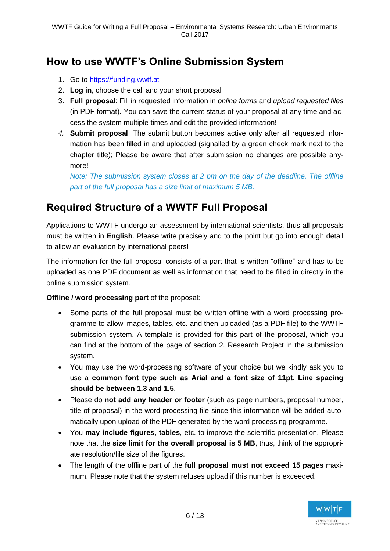## **How to use WWTF's Online Submission System**

- 1. Go to [https://funding.wwtf.at](https://funding.wwtf.at/)
- 2. **Log in**, choose the call and your short proposal
- 3. **Full proposal**: Fill in requested information in *online forms* and *upload requested files* (in PDF format). You can save the current status of your proposal at any time and access the system multiple times and edit the provided information!
- *4.* **Submit proposal**: The submit button becomes active only after all requested information has been filled in and uploaded (signalled by a green check mark next to the chapter title); Please be aware that after submission no changes are possible anymore!

*Note: The submission system closes at 2 pm on the day of the deadline. The offline part of the full proposal has a size limit of maximum 5 MB.*

## **Required Structure of a WWTF Full Proposal**

Applications to WWTF undergo an assessment by international scientists, thus all proposals must be written in **English**. Please write precisely and to the point but go into enough detail to allow an evaluation by international peers!

The information for the full proposal consists of a part that is written "offline" and has to be uploaded as one PDF document as well as information that need to be filled in directly in the online submission system.

**Offline / word processing part** of the proposal:

- Some parts of the full proposal must be written offline with a word processing programme to allow images, tables, etc. and then uploaded (as a PDF file) to the WWTF submission system. A template is provided for this part of the proposal, which you can find at the bottom of the page of section 2. Research Project in the submission system.
- You may use the word-processing software of your choice but we kindly ask you to use a **common font type such as Arial and a font size of 11pt. Line spacing should be between 1.3 and 1.5**.
- Please do **not add any header or footer** (such as page numbers, proposal number, title of proposal) in the word processing file since this information will be added automatically upon upload of the PDF generated by the word processing programme.
- You **may include figures, tables**, etc. to improve the scientific presentation. Please note that the **size limit for the overall proposal is 5 MB**, thus, think of the appropriate resolution/file size of the figures.
- The length of the offline part of the **full proposal must not exceed 15 pages** maximum. Please note that the system refuses upload if this number is exceeded.

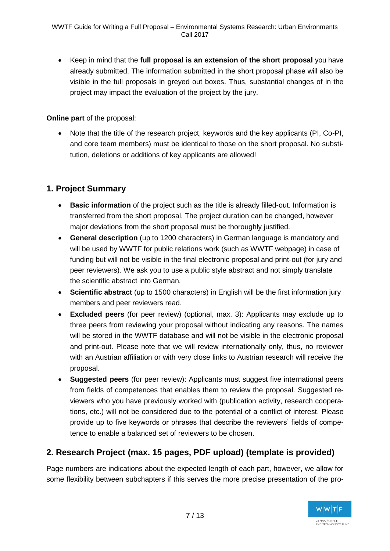Keep in mind that the **full proposal is an extension of the short proposal** you have already submitted. The information submitted in the short proposal phase will also be visible in the full proposals in greyed out boxes. Thus, substantial changes of in the project may impact the evaluation of the project by the jury.

**Online part** of the proposal:

 Note that the title of the research project, keywords and the key applicants (PI, Co-PI, and core team members) must be identical to those on the short proposal. No substitution, deletions or additions of key applicants are allowed!

#### **1. Project Summary**

- **Basic information** of the project such as the title is already filled-out. Information is transferred from the short proposal. The project duration can be changed, however major deviations from the short proposal must be thoroughly justified.
- **General description** (up to 1200 characters) in German language is mandatory and will be used by WWTF for public relations work (such as WWTF webpage) in case of funding but will not be visible in the final electronic proposal and print-out (for jury and peer reviewers). We ask you to use a public style abstract and not simply translate the scientific abstract into German.
- **Scientific abstract** (up to 1500 characters) in English will be the first information jury members and peer reviewers read.
- **Excluded peers** (for peer review) (optional, max. 3): Applicants may exclude up to three peers from reviewing your proposal without indicating any reasons. The names will be stored in the WWTF database and will not be visible in the electronic proposal and print-out. Please note that we will review internationally only, thus, no reviewer with an Austrian affiliation or with very close links to Austrian research will receive the proposal.
- **Suggested peers** (for peer review): Applicants must suggest five international peers from fields of competences that enables them to review the proposal. Suggested reviewers who you have previously worked with (publication activity, research cooperations, etc.) will not be considered due to the potential of a conflict of interest. Please provide up to five keywords or phrases that describe the reviewers' fields of competence to enable a balanced set of reviewers to be chosen.

#### **2. Research Project (max. 15 pages, PDF upload) (template is provided)**

Page numbers are indications about the expected length of each part, however, we allow for some flexibility between subchapters if this serves the more precise presentation of the pro-

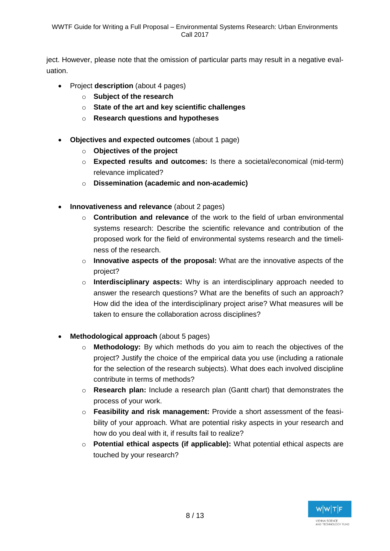ject. However, please note that the omission of particular parts may result in a negative evaluation.

- Project **description** (about 4 pages)
	- o **Subject of the research**
	- o **State of the art and key scientific challenges**
	- o **Research questions and hypotheses**
- **Objectives and expected outcomes** (about 1 page)
	- o **Objectives of the project**
	- o **Expected results and outcomes:** Is there a societal/economical (mid-term) relevance implicated?
	- o **Dissemination (academic and non-academic)**
- **Innovativeness and relevance** (about 2 pages)
	- o **Contribution and relevance** of the work to the field of urban environmental systems research: Describe the scientific relevance and contribution of the proposed work for the field of environmental systems research and the timeliness of the research.
	- o **Innovative aspects of the proposal:** What are the innovative aspects of the project?
	- o **Interdisciplinary aspects:** Why is an interdisciplinary approach needed to answer the research questions? What are the benefits of such an approach? How did the idea of the interdisciplinary project arise? What measures will be taken to ensure the collaboration across disciplines?
- **Methodological approach** (about 5 pages)
	- o **Methodology:** By which methods do you aim to reach the objectives of the project? Justify the choice of the empirical data you use (including a rationale for the selection of the research subjects). What does each involved discipline contribute in terms of methods?
	- o **Research plan:** Include a research plan (Gantt chart) that demonstrates the process of your work.
	- o **Feasibility and risk management:** Provide a short assessment of the feasibility of your approach. What are potential risky aspects in your research and how do you deal with it, if results fail to realize?
	- o **Potential ethical aspects (if applicable):** What potential ethical aspects are touched by your research?

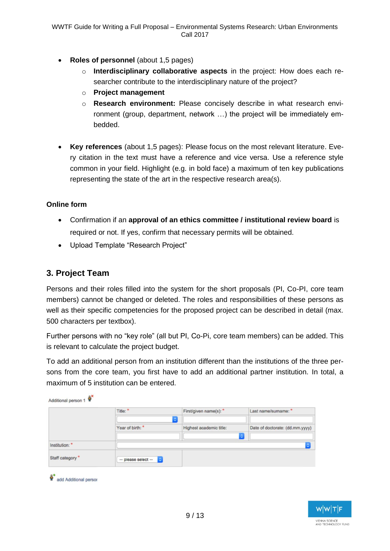- **Roles of personnel** (about 1,5 pages)
	- o **Interdisciplinary collaborative aspects** in the project: How does each researcher contribute to the interdisciplinary nature of the project?
	- o **Project management**
	- o **Research environment:** Please concisely describe in what research environment (group, department, network …) the project will be immediately embedded.
- **Key references** (about 1,5 pages): Please focus on the most relevant literature. Every citation in the text must have a reference and vice versa. Use a reference style common in your field. Highlight (e.g. in bold face) a maximum of ten key publications representing the state of the art in the respective research area(s).

#### **Online form**

- Confirmation if an **approval of an ethics committee / institutional review board** is required or not. If yes, confirm that necessary permits will be obtained.
- Upload Template "Research Project"

#### **3. Project Team**

Persons and their roles filled into the system for the short proposals (PI, Co-PI, core team members) cannot be changed or deleted. The roles and responsibilities of these persons as well as their specific competencies for the proposed project can be described in detail (max. 500 characters per textbox).

Further persons with no "key role" (all but PI, Co-Pi, core team members) can be added. This is relevant to calculate the project budget.

To add an additional person from an institution different than the institutions of the three persons from the core team, you first have to add an additional partner institution. In total, a maximum of 5 institution can be entered.

|                 | Title: *              | First/given name(s): *  | Last name/sumame: *             |
|-----------------|-----------------------|-------------------------|---------------------------------|
|                 | Year of birth: *      | Highest academic title: | Date of doctorate: (dd.mm.yyyy) |
| Institution: *  |                       |                         |                                 |
| Staff category* | $-$ please select $-$ |                         |                                 |



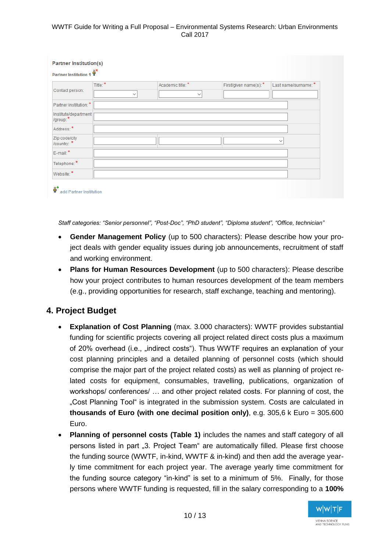#### WWTF Guide for Writing a Full Proposal – Environmental Systems Research: Urban Environments Call 2017

| Partner Institution 1 $\overset{\circ}{\mathbb{P}}^{\mathsf{X}}$ |                     |                   |                        |                      |
|------------------------------------------------------------------|---------------------|-------------------|------------------------|----------------------|
| Contact person:                                                  | Title: <sup>*</sup> | Academic title: * | First/given name(s): * | Last name/surname: * |
|                                                                  | $\checkmark$        | $\checkmark$      |                        |                      |
| Partner institution: *                                           |                     |                   |                        |                      |
| Institute/department<br>/group: *                                |                     |                   |                        |                      |
| Address:*                                                        |                     |                   |                        |                      |
| Zip code/city<br>/country: *                                     |                     |                   |                        | $\checkmark$         |
| E-mail:*                                                         |                     |                   |                        |                      |
| Telephone: *                                                     |                     |                   |                        |                      |
| Website: *                                                       |                     |                   |                        |                      |

*Staff categories: "Senior personnel", "Post-Doc", "PhD student", "Diploma student", "Office, technician"* 

- **Gender Management Policy** (up to 500 characters): Please describe how your project deals with gender equality issues during job announcements, recruitment of staff and working environment.
- **Plans for Human Resources Development** (up to 500 characters): Please describe how your project contributes to human resources development of the team members (e.g., providing opportunities for research, staff exchange, teaching and mentoring).

#### **4. Project Budget**

- **Explanation of Cost Planning** (max. 3.000 characters): WWTF provides substantial funding for scientific projects covering all project related direct costs plus a maximum of 20% overhead (i.e., "indirect costs"). Thus WWTF requires an explanation of your cost planning principles and a detailed planning of personnel costs (which should comprise the major part of the project related costs) as well as planning of project related costs for equipment, consumables, travelling, publications, organization of workshops/ conferences/ … and other project related costs. For planning of cost, the "Cost Planning Tool" is integrated in the submission system. Costs are calculated in **thousands of Euro (with one decimal position only)**, e.g. 305,6 k Euro = 305.600 Euro.
- **Planning of personnel costs (Table 1)** includes the names and staff category of all persons listed in part "3. Project Team" are automatically filled. Please first choose the funding source (WWTF, in-kind, WWTF & in-kind) and then add the average yearly time commitment for each project year. The average yearly time commitment for the funding source category "in-kind" is set to a minimum of 5%. Finally, for those persons where WWTF funding is requested, fill in the salary corresponding to a **100%**

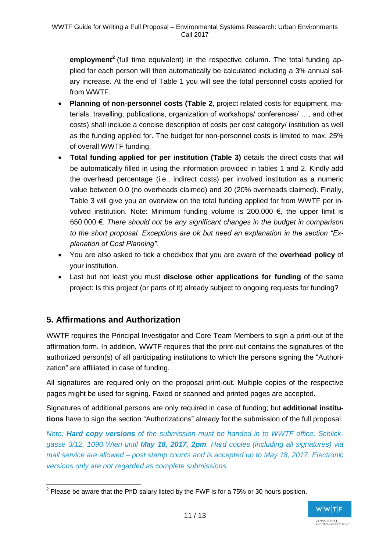**employment<sup>2</sup>** (full time equivalent) in the respective column. The total funding applied for each person will then automatically be calculated including a 3% annual salary increase. At the end of Table 1 you will see the total personnel costs applied for from WWTF.

- **Planning of non-personnel costs (Table 2**, project related costs for equipment, materials, travelling, publications, organization of workshops/ conferences/ …, and other costs) shall include a concise description of costs per cost category/ institution as well as the funding applied for. The budget for non-personnel costs is limited to max. 25% of overall WWTF funding.
- **Total funding applied for per institution (Table 3)** details the direct costs that will be automatically filled in using the information provided in tables 1 and 2. Kindly add the overhead percentage (i.e., indirect costs) per involved institution as a numeric value between 0.0 (no overheads claimed) and 20 (20% overheads claimed). Finally, Table 3 will give you an overview on the total funding applied for from WWTF per involved institution*.* Note: Minimum funding volume is 200.000 €, the upper limit is 650.000 €. *There should not be any significant changes in the budget in comparison to the short proposal. Exceptions are ok but need an explanation in the section "Explanation of Cost Planning".*
- You are also asked to tick a checkbox that you are aware of the **overhead policy** of your institution.
- Last but not least you must **disclose other applications for funding** of the same project: Is this project (or parts of it) already subject to ongoing requests for funding?

#### **5. Affirmations and Authorization**

WWTF requires the Principal Investigator and Core Team Members to sign a print-out of the affirmation form. In addition, WWTF requires that the print-out contains the signatures of the authorized person(s) of all participating institutions to which the persons signing the "Authorization" are affiliated in case of funding.

All signatures are required only on the proposal print-out. Multiple copies of the respective pages might be used for signing. Faxed or scanned and printed pages are accepted.

Signatures of additional persons are only required in case of funding; but **additional institutions** have to sign the section "Authorizations" already for the submission of the full proposal.

*Note: Hard copy versions of the submission must be handed in to WWTF office, Schlickgasse 3/12, 1090 Wien until May 18, 2017, 2pm. Hard copies (including all signatures) via mail service are allowed – post stamp counts and is accepted up to May 18, 2017. Electronic versions only are not regarded as complete submissions.* 

 2 Please be aware that the PhD salary listed by the FWF is for a 75% or 30 hours position.

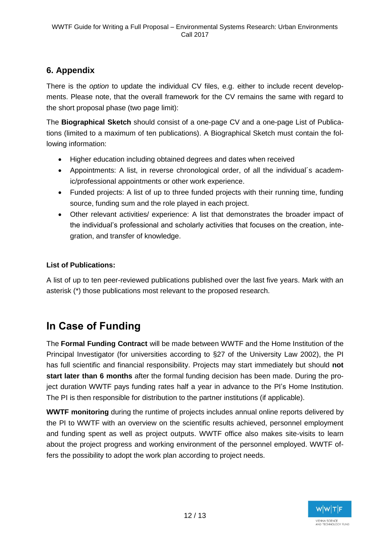#### **6. Appendix**

There is the *option* to update the individual CV files, e.g. either to include recent developments. Please note, that the overall framework for the CV remains the same with regard to the short proposal phase (two page limit):

The **Biographical Sketch** should consist of a one-page CV and a one-page List of Publications (limited to a maximum of ten publications). A Biographical Sketch must contain the following information:

- Higher education including obtained degrees and dates when received
- Appointments: A list, in reverse chronological order, of all the individual´s academic/professional appointments or other work experience.
- Funded projects: A list of up to three funded projects with their running time, funding source, funding sum and the role played in each project.
- Other relevant activities/ experience: A list that demonstrates the broader impact of the individual's professional and scholarly activities that focuses on the creation, integration, and transfer of knowledge.

#### **List of Publications:**

A list of up to ten peer-reviewed publications published over the last five years. Mark with an asterisk (\*) those publications most relevant to the proposed research.

## **In Case of Funding**

The **Formal Funding Contract** will be made between WWTF and the Home Institution of the Principal Investigator (for universities according to §27 of the University Law 2002), the PI has full scientific and financial responsibility. Projects may start immediately but should **not start later than 6 months** after the formal funding decision has been made. During the project duration WWTF pays funding rates half a year in advance to the PI's Home Institution. The PI is then responsible for distribution to the partner institutions (if applicable).

**WWTF monitoring** during the runtime of projects includes annual online reports delivered by the PI to WWTF with an overview on the scientific results achieved, personnel employment and funding spent as well as project outputs. WWTF office also makes site-visits to learn about the project progress and working environment of the personnel employed. WWTF offers the possibility to adopt the work plan according to project needs.